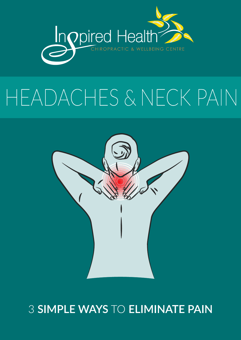

# HEADACHES & NECK PAIN



### 3 SIMPLE WAYS TO ELIMINATE PAIN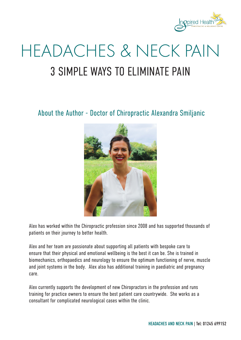

## 3 SIMPLE WAYS TO ELIMINATE PAIN HEADACHES & NECK PAIN

About the Author - Doctor of Chiropractic Alexandra Smiljanic



Alex has worked within the Chiropractic profession since 2008 and has supported thousands of patients on their journey to better health.

Alex and her team are passionate about supporting all patients with bespoke care to ensure that their physical and emotional wellbeing is the best it can be. She is trained in biomechanics, orthopaedics and neurology to ensure the optimum functioning of nerve, muscle and joint systems in the body. Alex also has additional training in paediatric and pregnancy care.

Alex currently supports the development of new Chiropractors in the profession and runs training for practice owners to ensure the best patient care countrywide. She works as a consultant for complicated neurological cases within the clinic.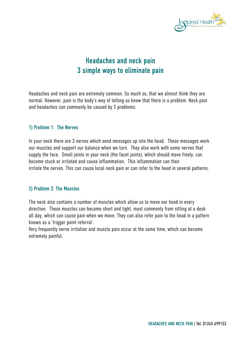

#### Headaches and neck pain 3 simple ways to eliminate pain

Headaches and neck pain are extremely common. So much so, that we almost think they are normal. However, pain is the body's way of letting us know that there is a problem. Neck pain and headaches can commonly be caused by 2 problems:

#### 1) Problem 1: The Nerves

In your neck there are 3 nerves which send messages up into the head. These messages work our muscles and support our balance when we turn. They also work with some nerves that supply the face. Small joints in your neck (the facet joints), which should move freely, can become stuck or irritated and cause inflammation. This inflammation can then irritate the nerves. This can cause local neck pain or can refer to the head in several patterns.

#### 2) Problem 2: The Muscles

The neck also contains a number of muscles which allow us to move our head in every direction. These muscles can become short and tight, most commonly from sitting at a desk all day, which can cause pain when we move. They can also refer pain to the head in a pattern known as a 'trigger point referral'.

Very frequently nerve irritation and muscle pain occur at the same time, which can become extremely painful.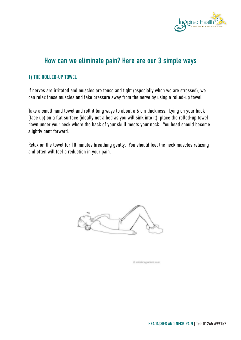

#### How can we eliminate pain? Here are our 3 simple ways

#### 1) THE ROLLED-UP TOWEL

If nerves are irritated and muscles are tense and tight (especially when we are stressed), we can relax these muscles and take pressure away from the nerve by using a rolled-up towel.

Take a small hand towel and roll it long ways to about a 6 cm thickness. Lying on your back (face up) on a flat surface (ideally not a bed as you will sink into it), place the rolled-up towel down under your neck where the back of your skull meets your neck. You head should become slightly bent forward.

Relax on the towel for 10 minutes breathing gently. You should feel the neck muscles relaxing and often will feel a reduction in your pain.



@ relatingazierc.com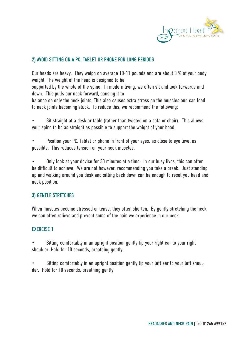

#### 2) AVOID SITTING ON A PC, TABLET OR PHONE FOR LONG PERIODS

Our heads are heavy. They weigh on average 10-11 pounds and are about 8 % of your body weight. The weight of the head is designed to be

supported by the whole of the spine. In modern living, we often sit and look forwards and down. This pulls our neck forward, causing it to

balance on only the neck joints. This also causes extra stress on the muscles and can lead to neck joints becoming stuck. To reduce this, we recommend the following:

- Sit straight at a desk or table (rather than twisted on a sofa or chair). This allows your spine to be as straight as possible to support the weight of your head.
- Position your PC, Tablet or phone in front of your eyes, as close to eye level as possible. This reduces tension on your neck muscles.

• Only look at your device for 30 minutes at a time. In our busy lives, this can often be difficult to achieve. We are not however, recommending you take a break. Just standing up and walking around you desk and sitting back down can be enough to reset you head and neck position.

#### 3) GENTLE STRETCHES

When muscles become stressed or tense, they often shorten. By gently stretching the neck we can often relieve and prevent some of the pain we experience in our neck.

#### EXERCISE 1

• Sitting comfortably in an upright position gently tip your right ear to your right shoulder. Hold for 10 seconds, breathing gently.

• Sitting comfortably in an upright position gently tip your left ear to your left shoulder. Hold for 10 seconds, breathing gently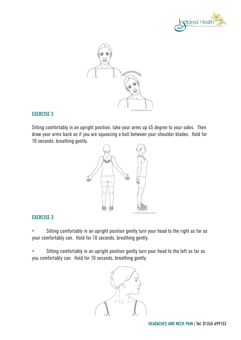



#### EXERCISE 2

Sitting comfortably in an upright position, take your arms up 45 degree to your sides. Then draw your arms back as if you are squeezing a ball between your shoulder blades. Hold for 10 seconds, breathing gently.



#### EXERCISE 3

• Sitting comfortably in an upright position gently turn your head to the right as far as your comfortably can. Hold for 10 seconds, breathing gently.

Sitting comfortably in an upright position gently turn your head to the left as far as you comfortably can. Hold for 10 seconds, breathing gently

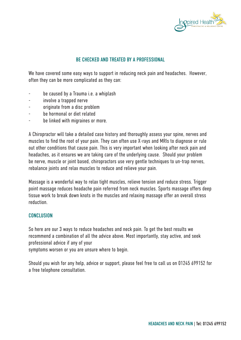

#### BE CHECKED AND TREATED BY A PROFESSIONAL

We have covered some easy ways to support in reducing neck pain and headaches. However, often they can be more complicated as they can:

- be caused by a Trauma i.e. a whiplash
- involve a trapped nerve
- originate from a disc problem
- be hormonal or diet related
- be linked with migraines or more.

A Chiropractor will take a detailed case history and thoroughly assess your spine, nerves and muscles to find the root of your pain. They can often use X-rays and MRIs to diagnose or rule out other conditions that cause pain. This is very important when looking after neck pain and headaches, as it ensures we are taking care of the underlying cause. Should your problem be nerve, muscle or joint based, chiropractors use very gentle techniques to un-trap nerves, rebalance joints and relax muscles to reduce and relieve your pain.

Massage is a wonderful way to relax tight muscles, relieve tension and reduce stress. Trigger point massage reduces headache pain referred from neck muscles. Sports massage offers deep tissue work to break down knots in the muscles and relaxing massage offer an overall stress reduction.

#### **CONCLUSION**

So here are our 3 ways to reduce headaches and neck pain. To get the best results we recommend a combination of all the advice above. Most importantly, stay active, and seek professional advice if any of your

symptoms worsen or you are unsure where to begin.

Should you wish for any help, advice or support, please feel free to call us on 01245 699152 for a free telephone consultation.